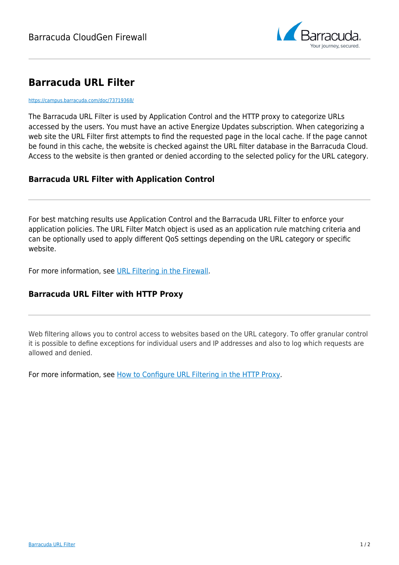

## **Barracuda URL Filter**

<https://campus.barracuda.com/doc/73719368/>

The Barracuda URL Filter is used by Application Control and the HTTP proxy to categorize URLs accessed by the users. You must have an active Energize Updates subscription. When categorizing a web site the URL Filter first attempts to find the requested page in the local cache. If the page cannot be found in this cache, the website is checked against the URL filter database in the Barracuda Cloud. Access to the website is then granted or denied according to the selected policy for the URL category.

## **Barracuda URL Filter with Application Control**

For best matching results use Application Control and the Barracuda URL Filter to enforce your application policies. The URL Filter Match object is used as an application rule matching criteria and can be optionally used to apply different QoS settings depending on the URL category or specific website.

For more information, see [URL Filtering in the Firewall.](http://campus.barracuda.com/doc/73719324/)

## **Barracuda URL Filter with HTTP Proxy**

Web filtering allows you to control access to websites based on the URL category. To offer granular control it is possible to define exceptions for individual users and IP addresses and also to log which requests are allowed and denied.

For more information, see [How to Configure URL Filtering in the HTTP Proxy](http://campus.barracuda.com/doc/73719403/).